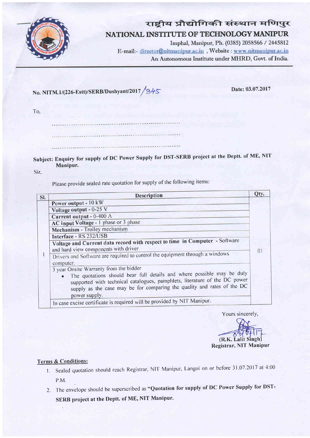

## राष्टीय प्रौद्योगिकी संस्थान मणिपुर NATIONAL INSTITUTE OF TECHNOLOGY MANIPUR

Imphal, Manipur, Ph. (0385) 2058566 / 2445812 E-mail:- director@nitmanipur.ac.in, Website: www.nitmanipur.ac.in An Autonomous Institute under MHRD, Govt. of India.

No. NITM.1/(226-Estt)/SERB/Dushyant/2017  $/$ 345

Date: 03.07.2017

To,

Subject: Enquiry for supply of DC Power Supply for DST-SERB project at the Deptt. of ME, NIT Manipur.

Sir,

Please provide sealed rate quotation for supply of the following items:

| SI. | <b>Description</b>                                                                                                                                                                                                                                                                                      | Otv.     |
|-----|---------------------------------------------------------------------------------------------------------------------------------------------------------------------------------------------------------------------------------------------------------------------------------------------------------|----------|
|     | Power output - 10 kW                                                                                                                                                                                                                                                                                    | $\Omega$ |
|     | Voltage output - 0-25 V                                                                                                                                                                                                                                                                                 |          |
|     | Current output - 0-400 A                                                                                                                                                                                                                                                                                |          |
|     | AC input Voltage - 1 phase or 3 phase                                                                                                                                                                                                                                                                   |          |
|     | Mechanism - Trolley mechanism                                                                                                                                                                                                                                                                           |          |
|     | Interface - RS 232/USB                                                                                                                                                                                                                                                                                  |          |
|     | Voltage and Current data record with respect to time in Computer - Software                                                                                                                                                                                                                             |          |
|     | and hard view components with driver                                                                                                                                                                                                                                                                    |          |
|     | Drivers and Software are required to control the equipment through a windows                                                                                                                                                                                                                            |          |
|     | computer.                                                                                                                                                                                                                                                                                               |          |
|     | 3 year Onsite Warranty from the bidder<br>The quotations should bear full details and where possible may be duly<br>$\bullet$<br>supported with technical catalogues, pamphlets, literature of the DC power<br>supply as the case may be for comparing the quality and rates of the DC<br>power supply. |          |
|     | In case excise certificate is required will be provided by NIT Manipur.                                                                                                                                                                                                                                 |          |

Yours sincerely,

(R.K. Lalit Singh) Registrar, NIT Manipur

## Terms & Conditions:

- 1. Sealed quotation should reach Registrar, NIT Manipur, Langol on or before 31.07.2017 at 4:00 P.M.
- 2. The envelope should be superscribed as "Quotation for supply of DC Power Supply for DST-SERB project at the Deptt. of ME, NIT Manipur.